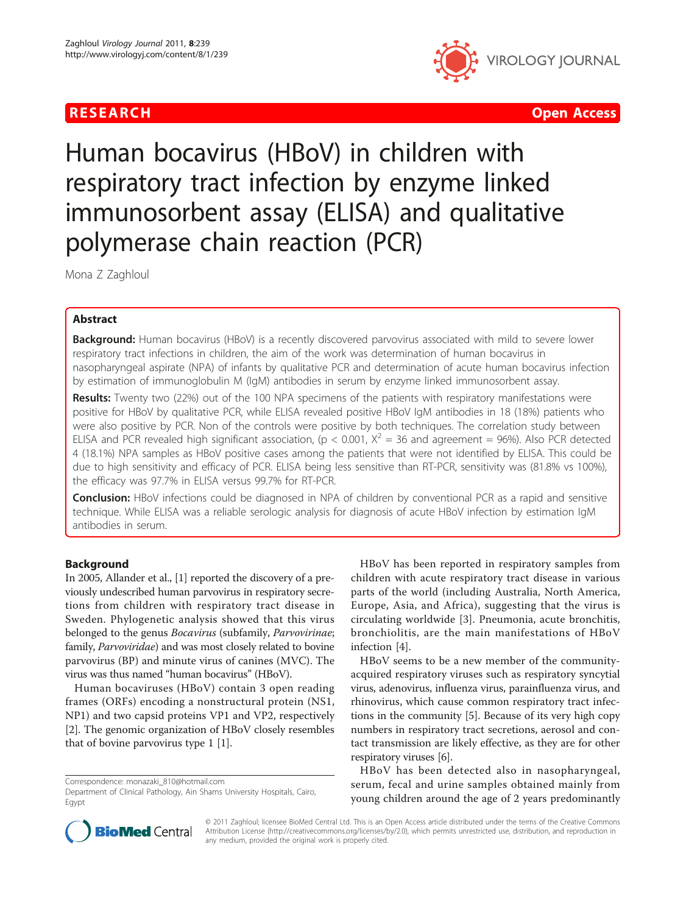

**RESEARCH Open Access Contract Contract Contract Contract Contract Contract Contract Contract Contract Contract Contract Contract Contract Contract Contract Contract Contract Contract Contract Contract Contract Contract** 

# Human bocavirus (HBoV) in children with respiratory tract infection by enzyme linked immunosorbent assay (ELISA) and qualitative polymerase chain reaction (PCR)

Mona Z Zaghloul

# Abstract

Background: Human bocavirus (HBoV) is a recently discovered parvovirus associated with mild to severe lower respiratory tract infections in children, the aim of the work was determination of human bocavirus in nasopharyngeal aspirate (NPA) of infants by qualitative PCR and determination of acute human bocavirus infection by estimation of immunoglobulin M (IgM) antibodies in serum by enzyme linked immunosorbent assay.

Results: Twenty two (22%) out of the 100 NPA specimens of the patients with respiratory manifestations were positive for HBoV by qualitative PCR, while ELISA revealed positive HBoV IgM antibodies in 18 (18%) patients who were also positive by PCR. Non of the controls were positive by both techniques. The correlation study between ELISA and PCR revealed high significant association, (p < 0.001,  $X^2 = 36$  and agreement = 96%). Also PCR detected 4 (18.1%) NPA samples as HBoV positive cases among the patients that were not identified by ELISA. This could be due to high sensitivity and efficacy of PCR. ELISA being less sensitive than RT-PCR, sensitivity was (81.8% vs 100%), the efficacy was 97.7% in ELISA versus 99.7% for RT-PCR.

Conclusion: HBoV infections could be diagnosed in NPA of children by conventional PCR as a rapid and sensitive technique. While ELISA was a reliable serologic analysis for diagnosis of acute HBoV infection by estimation IgM antibodies in serum.

# Background

In 2005, Allander et al., [\[1\]](#page-4-0) reported the discovery of a previously undescribed human parvovirus in respiratory secretions from children with respiratory tract disease in Sweden. Phylogenetic analysis showed that this virus belonged to the genus Bocavirus (subfamily, Parvovirinae; family, Parvoviridae) and was most closely related to bovine parvovirus (BP) and minute virus of canines (MVC). The virus was thus named "human bocavirus" (HBoV).

Human bocaviruses (HBoV) contain 3 open reading frames (ORFs) encoding a nonstructural protein (NS1, NP1) and two capsid proteins VP1 and VP2, respectively [[2\]](#page-4-0). The genomic organization of HBoV closely resembles that of bovine parvovirus type 1 [[1](#page-4-0)].

HBoV has been reported in respiratory samples from children with acute respiratory tract disease in various parts of the world (including Australia, North America, Europe, Asia, and Africa), suggesting that the virus is circulating worldwide [\[3](#page-4-0)]. Pneumonia, acute bronchitis, bronchiolitis, are the main manifestations of HBoV infection [[4\]](#page-4-0).

HBoV seems to be a new member of the communityacquired respiratory viruses such as respiratory syncytial virus, adenovirus, influenza virus, parainfluenza virus, and rhinovirus, which cause common respiratory tract infections in the community [\[5\]](#page-4-0). Because of its very high copy numbers in respiratory tract secretions, aerosol and contact transmission are likely effective, as they are for other respiratory viruses [\[6\]](#page-4-0).

HBoV has been detected also in nasopharyngeal, serum, fecal and urine samples obtained mainly from young children around the age of 2 years predominantly



© 2011 Zaghloul; licensee BioMed Central Ltd. This is an Open Access article distributed under the terms of the Creative Commons Attribution License [\(http://creativecommons.org/licenses/by/2.0](http://creativecommons.org/licenses/by/2.0)), which permits unrestricted use, distribution, and reproduction in any medium, provided the original work is properly cited.

Correspondence: [monazaki\\_810@hotmail.com](mailto:monazaki_810@hotmail.com)

Department of Clinical Pathology, Ain Shams University Hospitals, Cairo, Egypt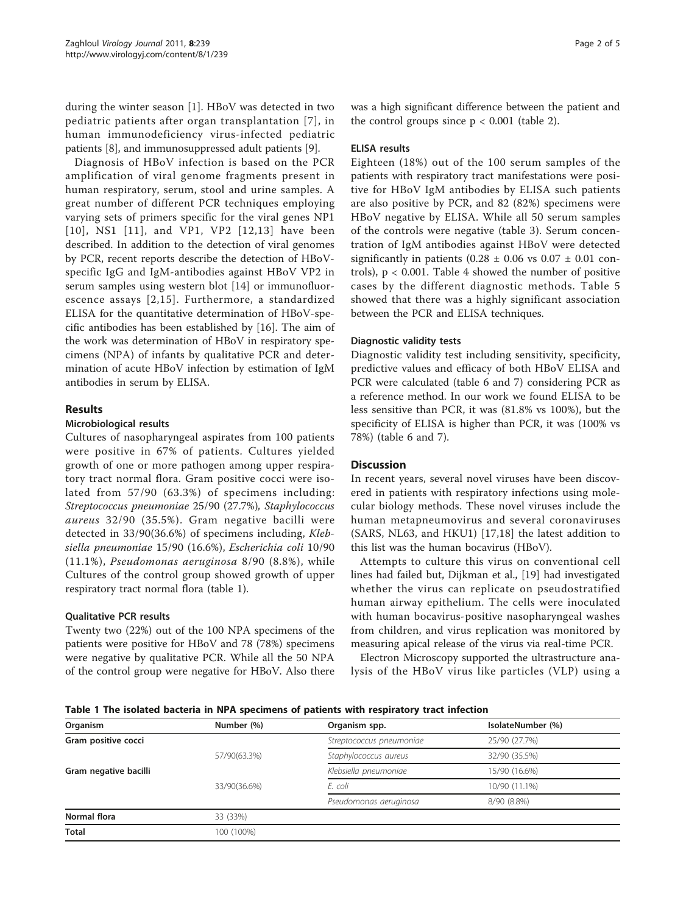during the winter season [\[1](#page-4-0)]. HBoV was detected in two pediatric patients after organ transplantation [[7\]](#page-4-0), in human immunodeficiency virus-infected pediatric patients [[8](#page-4-0)], and immunosuppressed adult patients [\[9\]](#page-4-0).

Diagnosis of HBoV infection is based on the PCR amplification of viral genome fragments present in human respiratory, serum, stool and urine samples. A great number of different PCR techniques employing varying sets of primers specific for the viral genes NP1 [[10](#page-4-0)], NS1 [[11\]](#page-4-0), and VP1, VP2 [[12](#page-4-0),[13](#page-4-0)] have been described. In addition to the detection of viral genomes by PCR, recent reports describe the detection of HBoVspecific IgG and IgM-antibodies against HBoV VP2 in serum samples using western blot [\[14\]](#page-4-0) or immunofluorescence assays [[2](#page-4-0),[15\]](#page-4-0). Furthermore, a standardized ELISA for the quantitative determination of HBoV-specific antibodies has been established by [[16\]](#page-4-0). The aim of the work was determination of HBoV in respiratory specimens (NPA) of infants by qualitative PCR and determination of acute HBoV infection by estimation of IgM antibodies in serum by ELISA.

# Results

# Microbiological results

Cultures of nasopharyngeal aspirates from 100 patients were positive in 67% of patients. Cultures yielded growth of one or more pathogen among upper respiratory tract normal flora. Gram positive cocci were isolated from 57/90 (63.3%) of specimens including: Streptococcus pneumoniae 25/90 (27.7%), Staphylococcus aureus 32/90 (35.5%). Gram negative bacilli were detected in 33/90(36.6%) of specimens including, Klebsiella pneumoniae 15/90 (16.6%), Escherichia coli 10/90 (11.1%), Pseudomonas aeruginosa 8/90 (8.8%), while Cultures of the control group showed growth of upper respiratory tract normal flora (table 1).

# Qualitative PCR results

Twenty two (22%) out of the 100 NPA specimens of the patients were positive for HBoV and 78 (78%) specimens were negative by qualitative PCR. While all the 50 NPA of the control group were negative for HBoV. Also there was a high significant difference between the patient and the control groups since  $p < 0.001$  (table [2\)](#page-2-0).

# ELISA results

Eighteen (18%) out of the 100 serum samples of the patients with respiratory tract manifestations were positive for HBoV IgM antibodies by ELISA such patients are also positive by PCR, and 82 (82%) specimens were HBoV negative by ELISA. While all 50 serum samples of the controls were negative (table [3](#page-2-0)). Serum concentration of IgM antibodies against HBoV were detected significantly in patients (0.28  $\pm$  0.06 vs 0.07  $\pm$  0.01 controls),  $p < 0.001$ . Table [4](#page-2-0) showed the number of positive cases by the different diagnostic methods. Table [5](#page-2-0) showed that there was a highly significant association between the PCR and ELISA techniques.

# Diagnostic validity tests

Diagnostic validity test including sensitivity, specificity, predictive values and efficacy of both HBoV ELISA and PCR were calculated (table [6](#page-3-0) and [7](#page-3-0)) considering PCR as a reference method. In our work we found ELISA to be less sensitive than PCR, it was (81.8% vs 100%), but the specificity of ELISA is higher than PCR, it was (100% vs 78%) (table [6](#page-3-0) and [7\)](#page-3-0).

# **Discussion**

In recent years, several novel viruses have been discovered in patients with respiratory infections using molecular biology methods. These novel viruses include the human metapneumovirus and several coronaviruses (SARS, NL63, and HKU1) [\[17,18\]](#page-4-0) the latest addition to this list was the human bocavirus (HBoV).

Attempts to culture this virus on conventional cell lines had failed but, Dijkman et al., [[19\]](#page-4-0) had investigated whether the virus can replicate on pseudostratified human airway epithelium. The cells were inoculated with human bocavirus-positive nasopharyngeal washes from children, and virus replication was monitored by measuring apical release of the virus via real-time PCR.

Electron Microscopy supported the ultrastructure analysis of the HBoV virus like particles (VLP) using a

Table 1 The isolated bacteria in NPA specimens of patients with respiratory tract infection

| Organism              | Number (%)   | Organism spp.            | IsolateNumber (%) |
|-----------------------|--------------|--------------------------|-------------------|
| Gram positive cocci   |              | Streptococcus pneumoniae | 25/90 (27.7%)     |
|                       | 57/90(63.3%) | Staphylococcus aureus    | 32/90 (35.5%)     |
| Gram negative bacilli |              | Klebsiella pneumoniae    | 15/90 (16.6%)     |
|                       | 33/90(36.6%) | E. coli                  | 10/90 (11.1%)     |
|                       |              | Pseudomonas aeruginosa   | 8/90 (8.8%)       |
| Normal flora          | 33 (33%)     |                          |                   |
| <b>Total</b>          | 100 (100%)   |                          |                   |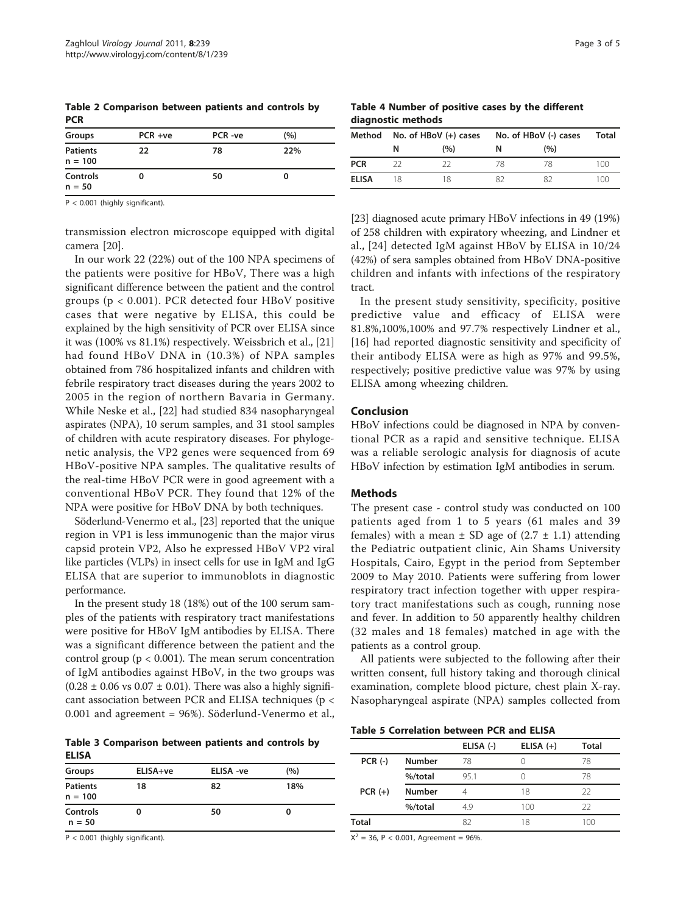<span id="page-2-0"></span>Table 2 Comparison between patients and controls by **PCR** Groups PCR +ve PCR -ve (%)

| Groups                       | $PCR +ve$ | PCR-ve | (%) |
|------------------------------|-----------|--------|-----|
| <b>Patients</b><br>$n = 100$ | 22        | 78     | 22% |
| <b>Controls</b><br>$n = 50$  | 0         | 50     | o   |

P < 0.001 (highly significant).

transmission electron microscope equipped with digital camera [\[20](#page-4-0)].

In our work 22 (22%) out of the 100 NPA specimens of the patients were positive for HBoV, There was a high significant difference between the patient and the control groups ( $p < 0.001$ ). PCR detected four HBoV positive cases that were negative by ELISA, this could be explained by the high sensitivity of PCR over ELISA since it was (100% vs 81.1%) respectively. Weissbrich et al., [[21](#page-4-0)] had found HBoV DNA in (10.3%) of NPA samples obtained from 786 hospitalized infants and children with febrile respiratory tract diseases during the years 2002 to 2005 in the region of northern Bavaria in Germany. While Neske et al., [\[22](#page-4-0)] had studied 834 nasopharyngeal aspirates (NPA), 10 serum samples, and 31 stool samples of children with acute respiratory diseases. For phylogenetic analysis, the VP2 genes were sequenced from 69 HBoV-positive NPA samples. The qualitative results of the real-time HBoV PCR were in good agreement with a conventional HBoV PCR. They found that 12% of the NPA were positive for HBoV DNA by both techniques.

Söderlund-Venermo et al., [\[23\]](#page-4-0) reported that the unique region in VP1 is less immunogenic than the major virus capsid protein VP2, Also he expressed HBoV VP2 viral like particles (VLPs) in insect cells for use in IgM and IgG ELISA that are superior to immunoblots in diagnostic performance.

In the present study 18 (18%) out of the 100 serum samples of the patients with respiratory tract manifestations were positive for HBoV IgM antibodies by ELISA. There was a significant difference between the patient and the control group ( $p < 0.001$ ). The mean serum concentration of IgM antibodies against HBoV, in the two groups was  $(0.28 \pm 0.06 \text{ vs } 0.07 \pm 0.01)$ . There was also a highly significant association between PCR and ELISA techniques (p < 0.001 and agreement = 96%). Söderlund-Venermo et al.,

Table 3 Comparison between patients and controls by ELISA

| Groups                       | ELISA+ve | ELISA -ve | (%) |
|------------------------------|----------|-----------|-----|
| <b>Patients</b><br>$n = 100$ | 18       | 82        | 18% |
| Controls<br>$n = 50$         | 0        | 50        |     |

P < 0.001 (highly significant).

Table 4 Number of positive cases by the different diagnostic methods

| Method       |    | No. of HBoV (+) cases | No. of HBoV (-) cases | Total |     |
|--------------|----|-----------------------|-----------------------|-------|-----|
|              | N  | (%)                   | N                     | (%)   |     |
| <b>PCR</b>   |    | วว                    | 78                    | 78    | 100 |
| <b>ELISA</b> | 18 | 18                    |                       | 82    | 100 |

[[23](#page-4-0)] diagnosed acute primary HBoV infections in 49 (19%) of 258 children with expiratory wheezing, and Lindner et al., [[24](#page-4-0)] detected IgM against HBoV by ELISA in 10/24 (42%) of sera samples obtained from HBoV DNA-positive children and infants with infections of the respiratory tract.

In the present study sensitivity, specificity, positive predictive value and efficacy of ELISA were 81.8%,100%,100% and 97.7% respectively Lindner et al., [[16\]](#page-4-0) had reported diagnostic sensitivity and specificity of their antibody ELISA were as high as 97% and 99.5%, respectively; positive predictive value was 97% by using ELISA among wheezing children.

#### Conclusion

HBoV infections could be diagnosed in NPA by conventional PCR as a rapid and sensitive technique. ELISA was a reliable serologic analysis for diagnosis of acute HBoV infection by estimation IgM antibodies in serum.

# Methods

The present case - control study was conducted on 100 patients aged from 1 to 5 years (61 males and 39 females) with a mean  $\pm$  SD age of (2.7  $\pm$  1.1) attending the Pediatric outpatient clinic, Ain Shams University Hospitals, Cairo, Egypt in the period from September 2009 to May 2010. Patients were suffering from lower respiratory tract infection together with upper respiratory tract manifestations such as cough, running nose and fever. In addition to 50 apparently healthy children (32 males and 18 females) matched in age with the patients as a control group.

All patients were subjected to the following after their written consent, full history taking and thorough clinical examination, complete blood picture, chest plain X-ray. Nasopharyngeal aspirate (NPA) samples collected from

| <b>Table 5 Correlation between PCR and ELISA</b> |
|--------------------------------------------------|
|--------------------------------------------------|

|              |               | ELISA (-) | ELISA $(+)$ | <b>Total</b> |
|--------------|---------------|-----------|-------------|--------------|
| $PCR (-)$    | <b>Number</b> | 78        | O           | 78           |
|              | %/total       | 95.1      |             | 78           |
| $PCR (+)$    | <b>Number</b> |           | 18          | 22           |
|              | %/total       | 49        | 100         | 22           |
| <b>Total</b> |               | 82        | 18          | 100          |
|              |               |           |             |              |

 $X^2 = 36$ , P < 0.001, Agreement = 96%.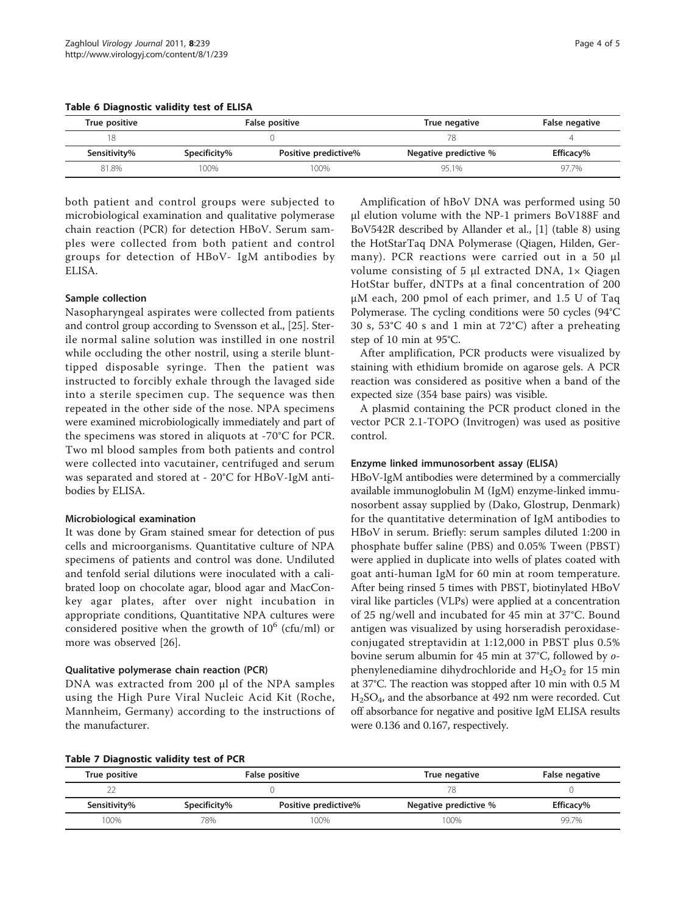<span id="page-3-0"></span>

|  | Table 6 Diagnostic validity test of ELISA |  |  |  |  |
|--|-------------------------------------------|--|--|--|--|
|--|-------------------------------------------|--|--|--|--|

| True positive |              | False positive<br>True negative |                       | False negative |
|---------------|--------------|---------------------------------|-----------------------|----------------|
| 18            |              | 78                              |                       |                |
| Sensitivity%  | Specificity% | Positive predictive%            | Negative predictive % | Efficacy%      |
| 81.8%         | $00\%$       | 100%                            | 95.1%                 | 97.7%          |

both patient and control groups were subjected to microbiological examination and qualitative polymerase chain reaction (PCR) for detection HBoV. Serum samples were collected from both patient and control groups for detection of HBoV- IgM antibodies by ELISA.

# Sample collection

Nasopharyngeal aspirates were collected from patients and control group according to Svensson et al., [\[25\]](#page-4-0). Sterile normal saline solution was instilled in one nostril while occluding the other nostril, using a sterile blunttipped disposable syringe. Then the patient was instructed to forcibly exhale through the lavaged side into a sterile specimen cup. The sequence was then repeated in the other side of the nose. NPA specimens were examined microbiologically immediately and part of the specimens was stored in aliquots at -70°C for PCR. Two ml blood samples from both patients and control were collected into vacutainer, centrifuged and serum was separated and stored at - 20°C for HBoV-IgM antibodies by ELISA.

### Microbiological examination

It was done by Gram stained smear for detection of pus cells and microorganisms. Quantitative culture of NPA specimens of patients and control was done. Undiluted and tenfold serial dilutions were inoculated with a calibrated loop on chocolate agar, blood agar and MacConkey agar plates, after over night incubation in appropriate conditions, Quantitative NPA cultures were considered positive when the growth of  $10^6$  (cfu/ml) or more was observed [[26\]](#page-4-0).

### Qualitative polymerase chain reaction (PCR)

DNA was extracted from 200 μl of the NPA samples using the High Pure Viral Nucleic Acid Kit (Roche, Mannheim, Germany) according to the instructions of the manufacturer.

Amplification of hBoV DNA was performed using 50 μl elution volume with the NP-1 primers BoV188F and BoV542R described by Allander et al., [\[1\]](#page-4-0) (table [8](#page-4-0)) using the HotStarTaq DNA Polymerase (Qiagen, Hilden, Germany). PCR reactions were carried out in a 50 μl volume consisting of 5 μl extracted DNA, 1× Qiagen HotStar buffer, dNTPs at a final concentration of 200 μM each, 200 pmol of each primer, and 1.5 U of Taq Polymerase. The cycling conditions were 50 cycles (94°C 30 s, 53°C 40 s and 1 min at 72°C) after a preheating step of 10 min at 95°C.

After amplification, PCR products were visualized by staining with ethidium bromide on agarose gels. A PCR reaction was considered as positive when a band of the expected size (354 base pairs) was visible.

A plasmid containing the PCR product cloned in the vector PCR 2.1-TOPO (Invitrogen) was used as positive control.

### Enzyme linked immunosorbent assay (ELISA)

HBoV-IgM antibodies were determined by a commercially available immunoglobulin M (IgM) enzyme-linked immunosorbent assay supplied by (Dako, Glostrup, Denmark) for the quantitative determination of IgM antibodies to HBoV in serum. Briefly: serum samples diluted 1:200 in phosphate buffer saline (PBS) and 0.05% Tween (PBST) were applied in duplicate into wells of plates coated with goat anti-human IgM for 60 min at room temperature. After being rinsed 5 times with PBST, biotinylated HBoV viral like particles (VLPs) were applied at a concentration of 25 ng/well and incubated for 45 min at 37°C. Bound antigen was visualized by using horseradish peroxidaseconjugated streptavidin at 1:12,000 in PBST plus 0.5% bovine serum albumin for 45 min at 37°C, followed by ophenylenediamine dihydrochloride and  $H_2O_2$  for 15 min at 37°C. The reaction was stopped after 10 min with 0.5 M H2SO4, and the absorbance at 492 nm were recorded. Cut off absorbance for negative and positive IgM ELISA results were 0.136 and 0.167, respectively.

# Table 7 Diagnostic validity test of PCR

| True positive | False positive<br>True negative |                      |                       | <b>False negative</b> |
|---------------|---------------------------------|----------------------|-----------------------|-----------------------|
| 22            |                                 |                      |                       |                       |
| Sensitivity%  | Specificity%                    | Positive predictive% | Negative predictive % | Efficacy%             |
| 100%          | 78%                             | 100%                 | 100%                  | 99.7%                 |